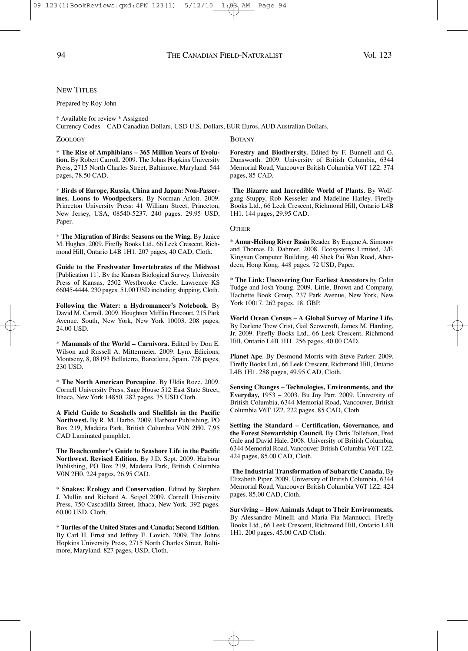# **NEW TITLES**

### Prepared by Roy John

† Available for review \* Assigned

Currency Codes – CAD Canadian Dollars, USD U.S. Dollars, EUR Euros, AUD Australian Dollars.

#### ZOOLOGY

\* **The Rise of Amphibians – 365 Million Years of Evolution.** By Robert Carroll. 2009. The Johns Hopkins University Press, 2715 North Charles Street, Baltimore, Maryland. 544 pages, 78.50 CAD.

\* **Birds of Europe, Russia, China and Japan: Non-Passerines. Loons to Woodpeckers.** By Norman Arlott. 2009. Princeton University Press: 41 William Street, Princeton, New Jersey, USA, 08540-5237. 240 pages. 29.95 USD, Paper.

\* **The Migration of Birds: Seasons on the Wing.** By Janice M. Hughes. 2009. Firefly Books Ltd., 66 Leek Crescent, Richmond Hill, Ontario L4B 1H1. 207 pages, 40 CAD, Cloth.

**Guide to the Freshwater Invertebrates of the Midwest** [Publication 11]. By the Kansas Biological Survey. University Press of Kansas, 2502 Westbrooke Circle, Lawrence KS 66045-4444. 230 pages. 51.00 USD including shipping, Cloth.

**Following the Water: a Hydromancer's Notebook**. By David M. Carroll. 2009. Houghton Mifflin Harcourt, 215 Park Avenue. South, New York, New York 10003. 208 pages, 24.00 USD.

\* **Mammals of the World – Carnivora.** Edited by Don E. Wilson and Russell A. Mittermeier. 2009. Lynx Edicions, Montseny, 8, 08193 Bellaterra, Barcelona, Spain. 728 pages, 230 USD.

\* **The North American Porcupine**. By Uldis Roze. 2009. Cornell University Press, Sage House 512 East State Street, Ithaca, New York 14850. 282 pages, 35 USD Cloth.

**A Field Guide to Seashells and Shellfish in the Pacific Northwest.** By R. M. Harbo. 2009. Harbour Publishing, PO Box 219, Madeira Park, British Columbia V0N 2H0. 7.95 CAD Laminated pamphlet.

**The Beachcomber's Guide to Seashore Life in the Pacific Northwest. Revised Edition**. By J.D. Sept. 2009. Harbour Publishing, PO Box 219, Madeira Park, British Columbia V0N 2H0. 224 pages, 26.95 CAD.

\* **Snakes: Ecology and Conservation**. Edited by Stephen J. Mullin and Richard A. Seigel 2009. Cornell University Press, 750 Cascadilla Street, Ithaca, New York. 392 pages. 60.00 USD, Cloth.

\* **Turtles of the United States and Canada; Second Edition.** By Carl H. Ernst and Jeffrey E. Lovich. 2009. The Johns Hopkins University Press, 2715 North Charles Street, Baltimore, Maryland. 827 pages, USD, Cloth.

## **BOTANY**

**Forestry and Biodiversity.** Edited by F. Bunnell and G. Dunsworth. 2009. University of British Columbia, 6344 Memorial Road, Vancouver British Columbia V6T 1Z2. 374 pages, 85 CAD.

**The Bizarre and Incredible World of Plants.** By Wolfgang Stuppy, Rob Kesseler and Madeline Harley. Firefly Books Ltd., 66 Leek Crescent, Richmond Hill, Ontario L4B 1H1. 144 pages, 29.95 CAD.

#### **OTHER**

\* **Amur-Heilong River Basin** Reader. By Eugene A. Simonov and Thomas D. Dahmer. 2008. Ecosystems Limited, 2/F, Kingsun Computer Building, 40 Shek Pai Wan Road, Aberdeen, Hong Kong. 448 pages. 72 USD, Paper.

\* **The Link: Uncovering Our Earliest Ancestors** by Colin Tudge and Josh Young. 2009. Little, Brown and Company, Hachette Book Group. 237 Park Avenue, New York, New York 10017. 262 pages. 18. GBP.

**World Ocean Census – A Global Survey of Marine Life.** By Darlene Trew Crist, Gail Scowcroft, James M. Harding, Jr. 2009. Firefly Books Ltd., 66 Leek Crescent, Richmond Hill, Ontario L4B 1H1. 256 pages, 40.00 CAD.

**Planet Ape**. By Desmond Morris with Steve Parker. 2009. Firefly Books Ltd., 66 Leek Crescent, Richmond Hill, Ontario L4B 1H1. 288 pages, 49.95 CAD, Cloth.

**Sensing Changes – Technologies, Environments, and the Everyday,** 1953 – 2003. Bu Joy Parr. 2009. University of British Columbia, 6344 Memorial Road, Vancouver, British Columbia V6T 1Z2. 222 pages. 85 CAD, Cloth.

**Setting the Standard – Certification, Governance, and the Forest Stewardship Council.** By Chris Tollefson, Fred Gale and David Hale, 2008. University of British Columbia, 6344 Memorial Road, Vancouver British Columbia V6T 1Z2. 424 pages, 85.00 CAD, Cloth.

**The Industrial Transformation of Subarctic Canada**, By Elizabeth Piper. 2009. University of British Columbia, 6344 Memorial Road, Vancouver British Columbia V6T 1Z2. 424 pages. 85.00 CAD, Cloth.

**Surviving – How Animals Adapt to Their Environments**. By Alessandro Minelli and Maria Pia Mannucci. Firefly Books Ltd., 66 Leek Crescent, Richmond Hill, Ontario L4B 1H1. 200 pages. 45.00 CAD Cloth.